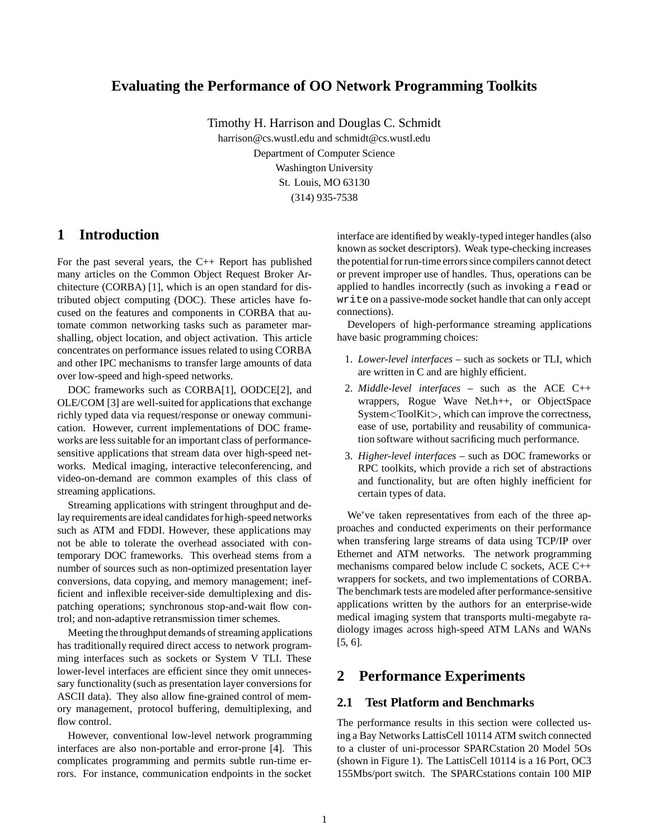# **Evaluating the Performance of OO Network Programming Toolkits**

Timothy H. Harrison and Douglas C. Schmidt harrison@cs.wustl.edu and schmidt@cs.wustl.edu Department of Computer Science Washington University St. Louis, MO 63130 (314) 935-7538

# **1 Introduction**

For the past several years, the C++ Report has published many articles on the Common Object Request Broker Architecture (CORBA) [1], which is an open standard for distributed object computing (DOC). These articles have focused on the features and components in CORBA that automate common networking tasks such as parameter marshalling, object location, and object activation. This article concentrates on performance issues related to using CORBA and other IPC mechanisms to transfer large amounts of data over low-speed and high-speed networks.

DOC frameworks such as CORBA[1], OODCE[2], and OLE/COM [3] are well-suited for applications that exchange richly typed data via request/response or oneway communication. However, current implementations of DOC frameworks are less suitable for an important class of performancesensitive applications that stream data over high-speed networks. Medical imaging, interactive teleconferencing, and video-on-demand are common examples of this class of streaming applications.

Streaming applications with stringent throughput and delay requirements are ideal candidates for high-speed networks such as ATM and FDDI. However, these applications may not be able to tolerate the overhead associated with contemporary DOC frameworks. This overhead stems from a number of sources such as non-optimized presentation layer conversions, data copying, and memory management; inefficient and inflexible receiver-side demultiplexing and dispatching operations; synchronous stop-and-wait flow control; and non-adaptive retransmission timer schemes.

Meeting the throughput demands of streaming applications has traditionally required direct access to network programming interfaces such as sockets or System V TLI. These lower-level interfaces are efficient since they omit unnecessary functionality (such as presentation layer conversions for ASCII data). They also allow fine-grained control of memory management, protocol buffering, demultiplexing, and flow control.

However, conventional low-level network programming interfaces are also non-portable and error-prone [4]. This complicates programming and permits subtle run-time errors. For instance, communication endpoints in the socket

interface are identified by weakly-typed integer handles (also known as socket descriptors). Weak type-checking increases the potential for run-time errors since compilers cannot detect or prevent improper use of handles. Thus, operations can be applied to handles incorrectly (such as invoking a read or write on a passive-mode socket handle that can only accept connections).

Developers of high-performance streaming applications have basic programming choices:

- 1. *Lower-level interfaces* such as sockets or TLI, which are written in C and are highly efficient.
- 2. *Middle-level interfaces* such as the ACE C++ wrappers, Rogue Wave Net.h++, or ObjectSpace System<ToolKit>, which can improve the correctness, ease of use, portability and reusability of communication software without sacrificing much performance.
- 3. *Higher-level interfaces* such as DOC frameworks or RPC toolkits, which provide a rich set of abstractions and functionality, but are often highly inefficient for certain types of data.

We've taken representatives from each of the three approaches and conducted experiments on their performance when transfering large streams of data using TCP/IP over Ethernet and ATM networks. The network programming mechanisms compared below include C sockets, ACE C++ wrappers for sockets, and two implementations of CORBA. The benchmark tests are modeled after performance-sensitive applications written by the authors for an enterprise-wide medical imaging system that transports multi-megabyte radiology images across high-speed ATM LANs and WANs [5, 6].

## **2 Performance Experiments**

### **2.1 Test Platform and Benchmarks**

The performance results in this section were collected using a Bay Networks LattisCell 10114 ATM switch connected to a cluster of uni-processor SPARCstation 20 Model 5Os (shown in Figure 1). The LattisCell 10114 is a 16 Port, OC3 155Mbs/port switch. The SPARCstations contain 100 MIP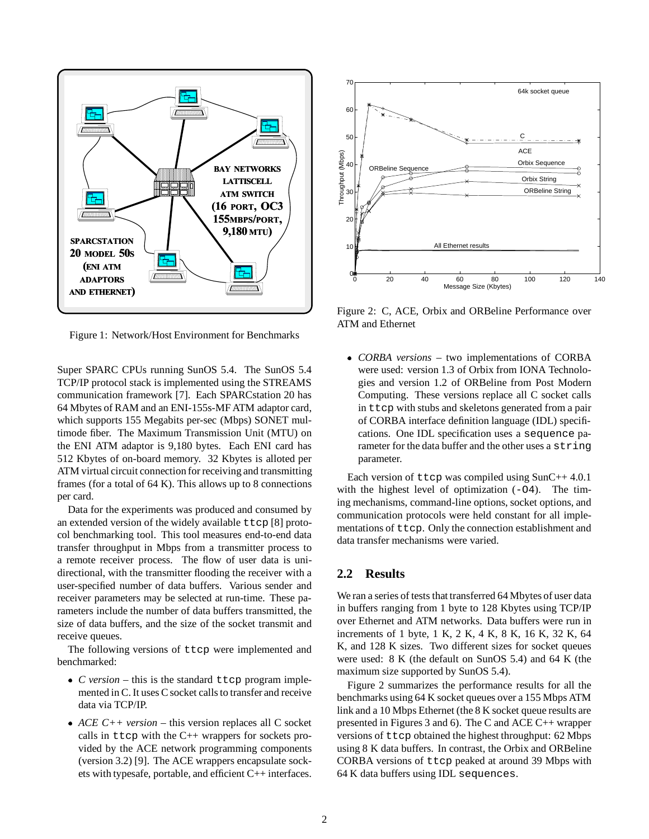

Figure 1: Network/Host Environment for Benchmarks

Super SPARC CPUs running SunOS 5.4. The SunOS 5.4 TCP/IP protocol stack is implemented using the STREAMS communication framework [7]. Each SPARCstation 20 has 64 Mbytes of RAM and an ENI-155s-MF ATM adaptor card, which supports 155 Megabits per-sec (Mbps) SONET multimode fiber. The Maximum Transmission Unit (MTU) on the ENI ATM adaptor is 9,180 bytes. Each ENI card has 512 Kbytes of on-board memory. 32 Kbytes is alloted per ATM virtual circuit connection for receiving and transmitting frames (for a total of 64 K). This allows up to 8 connections per card.

Data for the experiments was produced and consumed by an extended version of the widely available ttcp [8] protocol benchmarking tool. This tool measures end-to-end data transfer throughput in Mbps from a transmitter process to a remote receiver process. The flow of user data is unidirectional, with the transmitter flooding the receiver with a user-specified number of data buffers. Various sender and receiver parameters may be selected at run-time. These parameters include the number of data buffers transmitted, the size of data buffers, and the size of the socket transmit and receive queues.

The following versions of ttcp were implemented and benchmarked:

- *C version* this is the standard ttcp program implemented in C. It uses C socket calls to transfer and receive data via TCP/IP.
- *ACE C++ version* this version replaces all C socket calls in ttcp with the  $C++$  wrappers for sockets provided by the ACE network programming components (version 3.2) [9]. The ACE wrappers encapsulate sockets with typesafe, portable, and efficient C++ interfaces.



Figure 2: C, ACE, Orbix and ORBeline Performance over ATM and Ethernet

 *CORBA versions* – two implementations of CORBA were used: version 1.3 of Orbix from IONA Technologies and version 1.2 of ORBeline from Post Modern Computing. These versions replace all C socket calls in ttcp with stubs and skeletons generated from a pair of CORBA interface definition language (IDL) specifications. One IDL specification uses a sequence parameter for the data buffer and the other uses a string parameter.

Each version of ttcp was compiled using SunC++ 4.0.1 with the highest level of optimization  $(-04)$ . The timing mechanisms, command-line options, socket options, and communication protocols were held constant for all implementations of ttcp. Only the connection establishment and data transfer mechanisms were varied.

### **2.2 Results**

We ran a series of tests that transferred 64 Mbytes of user data in buffers ranging from 1 byte to 128 Kbytes using TCP/IP over Ethernet and ATM networks. Data buffers were run in increments of 1 byte, 1 K, 2 K, 4 K, 8 K, 16 K, 32 K, 64 K, and 128 K sizes. Two different sizes for socket queues were used: 8 K (the default on SunOS 5.4) and 64 K (the maximum size supported by SunOS 5.4).

Figure 2 summarizes the performance results for all the benchmarks using 64 K socket queues over a 155 Mbps ATM link and a 10 Mbps Ethernet (the 8 K socket queue results are presented in Figures 3 and 6). The C and ACE C++ wrapper versions of ttcp obtained the highest throughput: 62 Mbps using 8 K data buffers. In contrast, the Orbix and ORBeline CORBA versions of ttcp peaked at around 39 Mbps with 64 K data buffers using IDL sequences.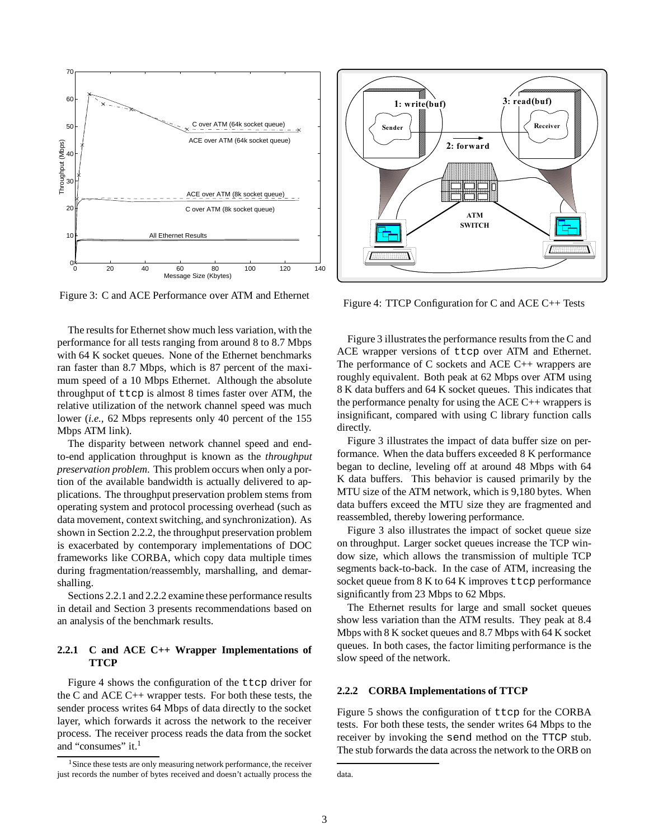

Figure 3: C and ACE Performance over ATM and Ethernet

The results for Ethernet show much less variation, with the performance for all tests ranging from around 8 to 8.7 Mbps with 64 K socket queues. None of the Ethernet benchmarks ran faster than 8.7 Mbps, which is 87 percent of the maximum speed of a 10 Mbps Ethernet. Although the absolute throughput of ttcp is almost 8 times faster over ATM, the relative utilization of the network channel speed was much lower (*i.e.,* 62 Mbps represents only 40 percent of the 155 Mbps ATM link).

The disparity between network channel speed and endto-end application throughput is known as the *throughput preservation problem*. This problem occurs when only a portion of the available bandwidth is actually delivered to applications. The throughput preservation problem stems from operating system and protocol processing overhead (such as data movement, context switching, and synchronization). As shown in Section 2.2.2, the throughput preservation problem is exacerbated by contemporary implementations of DOC frameworks like CORBA, which copy data multiple times during fragmentation/reassembly, marshalling, and demarshalling.

Sections 2.2.1 and 2.2.2 examine these performance results in detail and Section 3 presents recommendations based on an analysis of the benchmark results.

#### **2.2.1 C and ACE C++ Wrapper Implementations of TTCP**

Figure 4 shows the configuration of the ttcp driver for the C and ACE C++ wrapper tests. For both these tests, the sender process writes 64 Mbps of data directly to the socket layer, which forwards it across the network to the receiver process. The receiver process reads the data from the socket and "consumes" it.<sup>1</sup>





Figure 4: TTCP Configuration for C and ACE C++ Tests

Figure 3 illustrates the performance results from the C and ACE wrapper versions of ttcp over ATM and Ethernet. The performance of C sockets and ACE C++ wrappers are roughly equivalent. Both peak at 62 Mbps over ATM using 8 K data buffers and 64 K socket queues. This indicates that the performance penalty for using the ACE  $C_{++}$  wrappers is insignificant, compared with using C library function calls directly.

Figure 3 illustrates the impact of data buffer size on performance. When the data buffers exceeded 8 K performance began to decline, leveling off at around 48 Mbps with 64 K data buffers. This behavior is caused primarily by the MTU size of the ATM network, which is 9,180 bytes. When data buffers exceed the MTU size they are fragmented and reassembled, thereby lowering performance.

Figure 3 also illustrates the impact of socket queue size on throughput. Larger socket queues increase the TCP window size, which allows the transmission of multiple TCP segments back-to-back. In the case of ATM, increasing the socket queue from  $8K$  to  $64K$  improves ttcp performance significantly from 23 Mbps to 62 Mbps.

The Ethernet results for large and small socket queues show less variation than the ATM results. They peak at 8.4 Mbps with 8 K socket queues and 8.7 Mbps with 64 K socket queues. In both cases, the factor limiting performance is the slow speed of the network.

#### **2.2.2 CORBA Implementations of TTCP**

Figure 5 shows the configuration of ttcp for the CORBA tests. For both these tests, the sender writes 64 Mbps to the receiver by invoking the send method on the TTCP stub. The stub forwards the data across the network to the ORB on

data.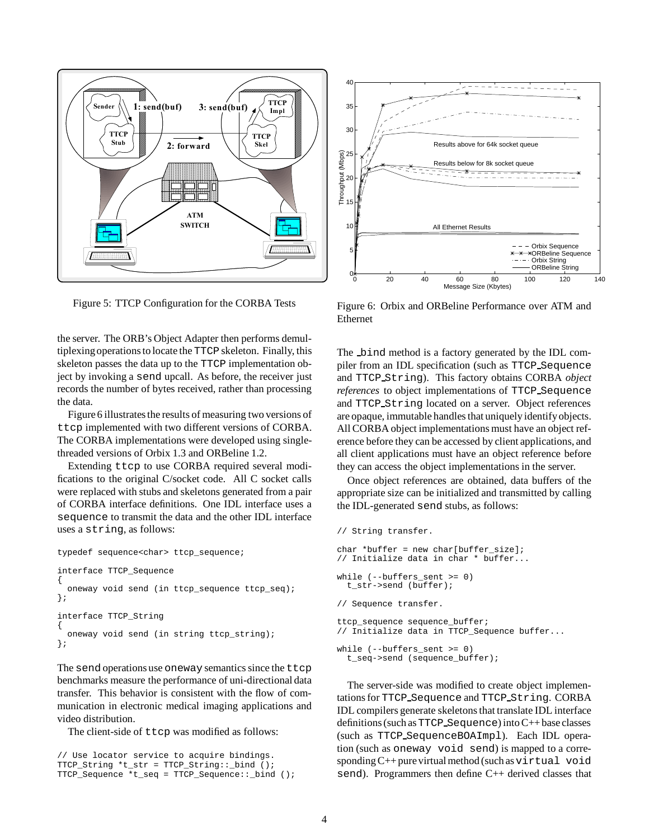

Figure 5: TTCP Configuration for the CORBA Tests

the server. The ORB's Object Adapter then performs demultiplexingoperations to locate the TTCP skeleton. Finally, this skeleton passes the data up to the TTCP implementation object by invoking a send upcall. As before, the receiver just records the number of bytes received, rather than processing the data.

Figure 6 illustrates the results of measuring two versions of ttcp implemented with two different versions of CORBA. The CORBA implementations were developed using singlethreaded versions of Orbix 1.3 and ORBeline 1.2.

Extending ttcp to use CORBA required several modifications to the original C/socket code. All C socket calls were replaced with stubs and skeletons generated from a pair of CORBA interface definitions. One IDL interface uses a sequence to transmit the data and the other IDL interface uses a string, as follows:

```
typedef sequence<char> ttcp_sequence;
interface TTCP_Sequence
{
  oneway void send (in ttcp_sequence ttcp_seq);
};
interface TTCP_String
{
  oneway void send (in string ttcp_string);
};
```
The send operations use oneway semantics since the ttcp benchmarks measure the performance of uni-directional data transfer. This behavior is consistent with the flow of communication in electronic medical imaging applications and video distribution.

The client-side of ttcp was modified as follows:

```
// Use locator service to acquire bindings.
TTCP_String *t_str = TTCP_String::_bind ();
TTCP_Sequence *t_seq = TTCP_Sequence::_bind ();
```


Figure 6: Orbix and ORBeline Performance over ATM and Ethernet

The bind method is a factory generated by the IDL compiler from an IDL specification (such as TTCP Sequence and TTCP String). This factory obtains CORBA *object references* to object implementations of TTCP Sequence and TTCP String located on a server. Object references are opaque, immutable handles that uniquely identifyobjects. All CORBA object implementations must have an object reference before they can be accessed by client applications, and all client applications must have an object reference before they can access the object implementations in the server.

Once object references are obtained, data buffers of the appropriate size can be initialized and transmitted by calling the IDL-generated send stubs, as follows:

```
// String transfer.
char *buffer = new char[buffer_size];
// Initialize data in char * buffer...
while (--buffers sent >= 0)
  t_str->send (buffer);
// Sequence transfer.
ttcp_sequence sequence_buffer;
// Initialize data in TTCP_Sequence buffer...
while (--buffers_sent >= 0)
  t_seq->send (sequence_buffer);
```
The server-side was modified to create object implementations for TTCP Sequence and TTCP String. CORBA IDL compilers generate skeletons that translate IDL interface definitions (such asTTCP Sequence) into C++ base classes (such as TTCP SequenceBOAImpl). Each IDL operation (such as oneway void send) is mapped to a corresponding  $C++$  pure virtual method (such as virtual void send). Programmers then define C++ derived classes that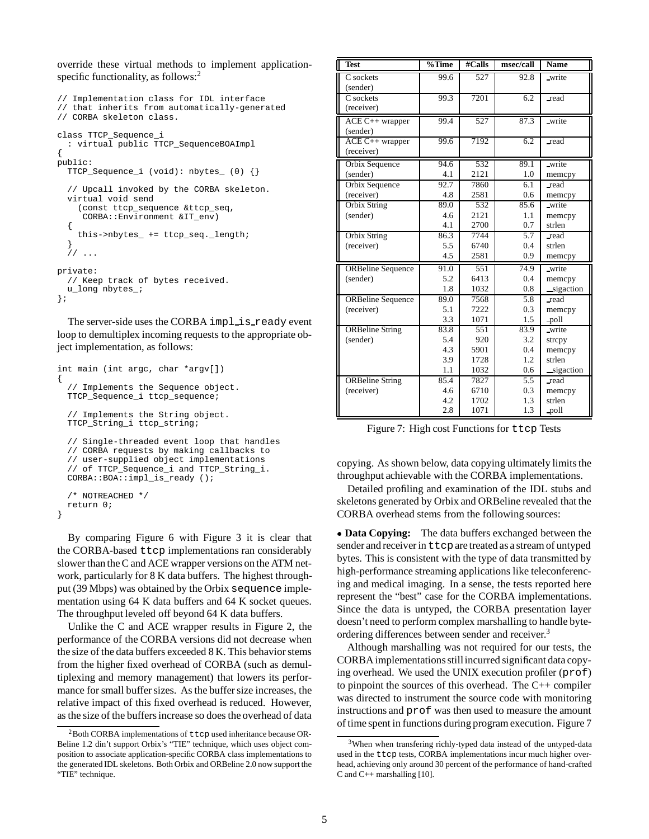override these virtual methods to implement applicationspecific functionality, as follows:<sup>2</sup>

```
// Implementation class for IDL interface
// that inherits from automatically-generated
// CORBA skeleton class.
class TTCP_Sequence_i
  : virtual public TTCP_SequenceBOAImpl
{
public:
  TTCP Sequence i (void): nbytes (0) \{\}// Upcall invoked by the CORBA skeleton.
 virtual void send
    (const ttcp_sequence &ttcp_seq,
     CORBA::Environment &IT_env)
  {
    this->nbytes_ += ttcp_seq._length;
  }
  / /private:
  // Keep track of bytes received.
 u long nbytes ;
};
```
The server-side uses the CORBA implision ready event loop to demultiplex incoming requests to the appropriate object implementation, as follows:

```
int main (int argc, char *argv[])
{
  // Implements the Sequence object.
 TTCP_Sequence_i ttcp_sequence;
 // Implements the String object.
 TTCP_String_i ttcp_string;
 // Single-threaded event loop that handles
 // CORBA requests by making callbacks to
 // user-supplied object implementations
  // of TTCP_Sequence_i and TTCP_String_i.
 CORBA::BOA::impl_is_ready ();
  /* NOTREACHED */
 return 0;
}
```
By comparing Figure 6 with Figure 3 it is clear that the CORBA-based ttcp implementations ran considerably slower than the C and ACE wrapper versions on the ATM network, particularly for 8 K data buffers. The highest throughput (39 Mbps) was obtained by the Orbix sequence implementation using 64 K data buffers and 64 K socket queues. The throughput leveled off beyond 64 K data buffers.

Unlike the C and ACE wrapper results in Figure 2, the performance of the CORBA versions did not decrease when the size of the data buffers exceeded 8 K. This behavior stems from the higher fixed overhead of CORBA (such as demultiplexing and memory management) that lowers its performance for small buffer sizes. As the buffer size increases, the relative impact of this fixed overhead is reduced. However, as the size of the buffers increase so does the overhead of data

| <b>Test</b>              | $\sqrt[9]{\text{Time}}$ | #Calls | msec/call | <b>Name</b> |
|--------------------------|-------------------------|--------|-----------|-------------|
| C sockets                | 99.6                    | 527    | 92.8      | write       |
| (sender)                 |                         |        |           |             |
| C sockets                | 99.3                    | 7201   | 6.2       | _read       |
| (receiver)               |                         |        |           |             |
| ACE C++ wrapper          | 99.4                    | 527    | 87.3      | write       |
| (sender)                 |                         |        |           |             |
| ACE C++ wrapper          | 99.6                    | 7192   | 6.2       | read        |
| (receiver)               |                         |        |           |             |
| Orbix Sequence           | 94.6                    | 532    | 89.1      | write       |
| (sender)                 | 4.1                     | 2121   | 1.0       | memcpy      |
| Orbix Sequence           | 92.7                    | 7860   | 6.1       | read        |
| (receiver)               | 4.8                     | 2581   | 0.6       | memcpy      |
| <b>Orbix String</b>      | 89.0                    | 532    | 85.6      | write       |
| (sender)                 | 4.6                     | 2121   | 1.1       | memcpy      |
|                          | 4.1                     | 2700   | 0.7       | strlen      |
| Orbix String             | 86.3                    | 7744   | 5.7       | read        |
| (receiver)               | 5.5                     | 6740   | 0.4       | strlen      |
|                          | 4.5                     | 2581   | 0.9       | memcpy      |
| <b>ORBeline</b> Sequence | 91.0                    | 551    | 74.9      | write       |
| (sender)                 | 5.2                     | 6413   | 0.4       | memcpy      |
|                          | 1.8                     | 1032   | 0.8       | sigaction   |
| <b>ORBeline Sequence</b> | 89.0                    | 7568   | 5.8       | read        |
| (receiver)               | 5.1                     | 7222   | 0.3       | memcpy      |
|                          | 3.3                     | 1071   | 1.5       | poll        |
| <b>ORBeline String</b>   | 83.8                    | 551    | 83.9      | write       |
| (sender)                 | 5.4                     | 920    | 3.2       | strcpy      |
|                          | 4.3                     | 5901   | 0.4       | memcpy      |
|                          | 3.9                     | 1728   | 1.2       | strlen      |
|                          | 1.1                     | 1032   | 0.6       | sigaction   |
| <b>ORBeline String</b>   | 85.4                    | 7827   | 5.5       | read        |
| (receiver)               | 4.6                     | 6710   | 0.3       | memcpy      |
|                          | 4.2                     | 1702   | 1.3       | strlen      |
|                          | 2.8                     | 1071   | 1.3       | .poll       |

Figure 7: High cost Functions for ttcp Tests

copying. As shown below, data copying ultimately limits the throughput achievable with the CORBA implementations.

Detailed profiling and examination of the IDL stubs and skeletons generated by Orbix and ORBeline revealed that the CORBA overhead stems from the following sources:

 **Data Copying:** The data buffers exchanged between the sender and receiver in  $t \tau$  are treated as a stream of untyped bytes. This is consistent with the type of data transmitted by high-performance streaming applications like teleconferencing and medical imaging. In a sense, the tests reported here represent the "best" case for the CORBA implementations. Since the data is untyped, the CORBA presentation layer doesn't need to perform complex marshalling to handle byteordering differences between sender and receiver.<sup>3</sup>

Although marshalling was not required for our tests, the CORBA implementations still incurred significant data copying overhead. We used the UNIX execution profiler (prof) to pinpoint the sources of this overhead. The C++ compiler was directed to instrument the source code with monitoring instructions and prof was then used to measure the amount of time spent in functions during program execution. Figure 7

 $2$ Both CORBA implementations of  $t$ tcp used inheritance because OR-Beline 1.2 din't support Orbix's "TIE" technique, which uses object composition to associate application-specific CORBA class implementations to the generated IDL skeletons. Both Orbix and ORBeline 2.0 now support the "TIE" technique.

<sup>&</sup>lt;sup>3</sup>When when transfering richly-typed data instead of the untyped-data used in the ttcp tests, CORBA implementations incur much higher overhead, achieving only around 30 percent of the performance of hand-crafted C and C++ marshalling [10].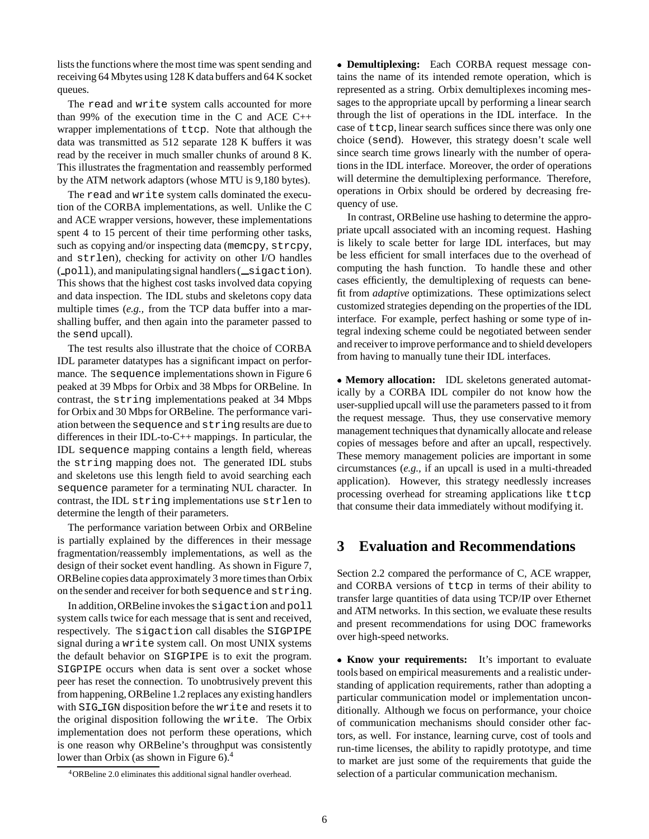lists the functions where the most time was spent sending and receiving 64 Mbytes using 128 K data buffers and 64 K socket queues.

The read and write system calls accounted for more than 99% of the execution time in the C and ACE  $C_{++}$ wrapper implementations of ttcp. Note that although the data was transmitted as 512 separate 128 K buffers it was read by the receiver in much smaller chunks of around 8 K. This illustrates the fragmentation and reassembly performed by the ATM network adaptors (whose MTU is 9,180 bytes).

The read and write system calls dominated the execution of the CORBA implementations, as well. Unlike the C and ACE wrapper versions, however, these implementations spent 4 to 15 percent of their time performing other tasks, such as copying and/or inspecting data (memcpy, strcpy, and strlen), checking for activity on other I/O handles  $($  poll), and manipulating signal handlers  $($  sigaction). This shows that the highest cost tasks involved data copying and data inspection. The IDL stubs and skeletons copy data multiple times (*e.g.,* from the TCP data buffer into a marshalling buffer, and then again into the parameter passed to the send upcall).

The test results also illustrate that the choice of CORBA IDL parameter datatypes has a significant impact on performance. The sequence implementations shown in Figure 6 peaked at 39 Mbps for Orbix and 38 Mbps for ORBeline. In contrast, the string implementations peaked at 34 Mbps for Orbix and 30 Mbps for ORBeline. The performance variation between the sequence and string results are due to differences in their IDL-to-C++ mappings. In particular, the IDL sequence mapping contains a length field, whereas the string mapping does not. The generated IDL stubs and skeletons use this length field to avoid searching each sequence parameter for a terminating NUL character. In contrast, the IDL string implementations use strlen to determine the length of their parameters.

The performance variation between Orbix and ORBeline is partially explained by the differences in their message fragmentation/reassembly implementations, as well as the design of their socket event handling. As shown in Figure 7, ORBeline copies data approximately 3 more times than Orbix on the sender and receiver for bothsequence and string.

In addition,ORBeline invokes the sigaction and poll system calls twice for each message that is sent and received, respectively. The sigaction call disables the SIGPIPE signal during a write system call. On most UNIX systems the default behavior on SIGPIPE is to exit the program. SIGPIPE occurs when data is sent over a socket whose peer has reset the connection. To unobtrusively prevent this from happening, ORBeline 1.2 replaces any existing handlers with SIG IGN disposition before the write and resets it to the original disposition following the write. The Orbix implementation does not perform these operations, which is one reason why ORBeline's throughput was consistently lower than Orbix (as shown in Figure 6).<sup>4</sup>

 **Demultiplexing:** Each CORBA request message contains the name of its intended remote operation, which is represented as a string. Orbix demultiplexes incoming messages to the appropriate upcall by performing a linear search through the list of operations in the IDL interface. In the case of ttcp, linear search suffices since there was only one choice (send). However, this strategy doesn't scale well since search time grows linearly with the number of operations in the IDL interface. Moreover, the order of operations will determine the demultiplexing performance. Therefore, operations in Orbix should be ordered by decreasing frequency of use.

In contrast, ORBeline use hashing to determine the appropriate upcall associated with an incoming request. Hashing is likely to scale better for large IDL interfaces, but may be less efficient for small interfaces due to the overhead of computing the hash function. To handle these and other cases efficiently, the demultiplexing of requests can benefit from *adaptive* optimizations. These optimizations select customized strategies depending on the properties of the IDL interface. For example, perfect hashing or some type of integral indexing scheme could be negotiated between sender and receiver to improve performance and to shield developers from having to manually tune their IDL interfaces.

 **Memory allocation:** IDL skeletons generated automatically by a CORBA IDL compiler do not know how the user-supplied upcall will use the parameters passed to it from the request message. Thus, they use conservative memory management techniques that dynamically allocate and release copies of messages before and after an upcall, respectively. These memory management policies are important in some circumstances (*e.g.,* if an upcall is used in a multi-threaded application). However, this strategy needlessly increases processing overhead for streaming applications like ttcp that consume their data immediately without modifying it.

# **3 Evaluation and Recommendations**

Section 2.2 compared the performance of C, ACE wrapper, and CORBA versions of ttcp in terms of their ability to transfer large quantities of data using TCP/IP over Ethernet and ATM networks. In this section, we evaluate these results and present recommendations for using DOC frameworks over high-speed networks.

 **Know your requirements:** It's important to evaluate tools based on empirical measurements and a realistic understanding of application requirements, rather than adopting a particular communication model or implementation unconditionally. Although we focus on performance, your choice of communication mechanisms should consider other factors, as well. For instance, learning curve, cost of tools and run-time licenses, the ability to rapidly prototype, and time to market are just some of the requirements that guide the selection of a particular communication mechanism.

<sup>4</sup>ORBeline 2.0 eliminates this additional signal handler overhead.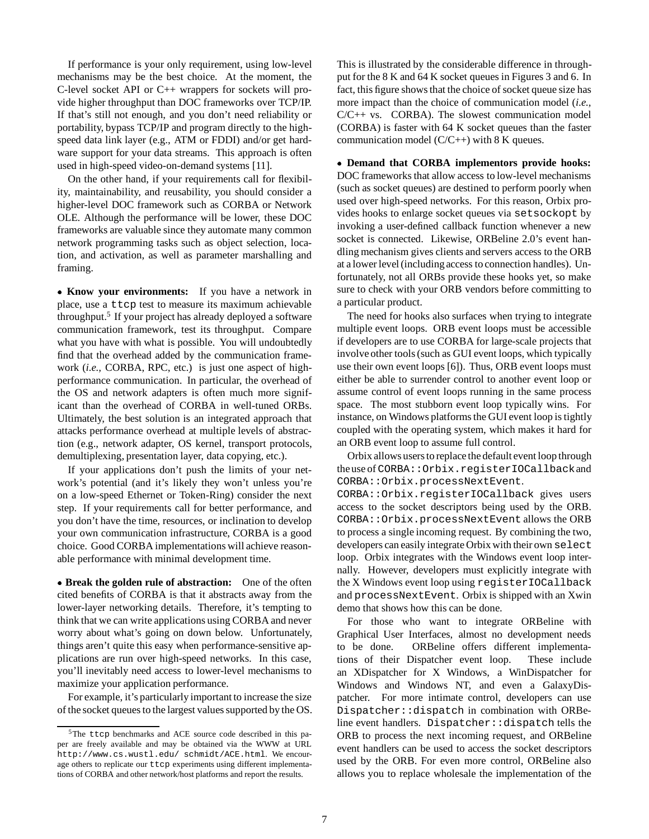If performance is your only requirement, using low-level mechanisms may be the best choice. At the moment, the C-level socket API or C++ wrappers for sockets will provide higher throughput than DOC frameworks over TCP/IP. If that's still not enough, and you don't need reliability or portability, bypass TCP/IP and program directly to the highspeed data link layer (e.g., ATM or FDDI) and/or get hardware support for your data streams. This approach is often used in high-speed video-on-demand systems [11].

On the other hand, if your requirements call for flexibility, maintainability, and reusability, you should consider a higher-level DOC framework such as CORBA or Network OLE. Although the performance will be lower, these DOC frameworks are valuable since they automate many common network programming tasks such as object selection, location, and activation, as well as parameter marshalling and framing.

 **Know your environments:** If you have a network in place, use a ttcp test to measure its maximum achievable throughput.5 If your project has already deployed a software communication framework, test its throughput. Compare what you have with what is possible. You will undoubtedly find that the overhead added by the communication framework (*i.e.,* CORBA, RPC, etc.) is just one aspect of highperformance communication. In particular, the overhead of the OS and network adapters is often much more significant than the overhead of CORBA in well-tuned ORBs. Ultimately, the best solution is an integrated approach that attacks performance overhead at multiple levels of abstraction (e.g., network adapter, OS kernel, transport protocols, demultiplexing, presentation layer, data copying, etc.).

If your applications don't push the limits of your network's potential (and it's likely they won't unless you're on a low-speed Ethernet or Token-Ring) consider the next step. If your requirements call for better performance, and you don't have the time, resources, or inclination to develop your own communication infrastructure, CORBA is a good choice. Good CORBA implementations will achieve reasonable performance with minimal development time.

 **Break the golden rule of abstraction:** One of the often cited benefits of CORBA is that it abstracts away from the lower-layer networking details. Therefore, it's tempting to think that we can write applications using CORBA and never worry about what's going on down below. Unfortunately, things aren't quite this easy when performance-sensitive applications are run over high-speed networks. In this case, you'll inevitably need access to lower-level mechanisms to maximize your application performance.

For example, it's particularly important to increase the size of the socket queues to the largest values supported by the OS.

This is illustrated by the considerable difference in throughput for the 8 K and 64 K socket queues in Figures 3 and 6. In fact, this figure shows that the choice of socket queue size has more impact than the choice of communication model (*i.e.,*  $C/C++$  vs. CORBA). The slowest communication model (CORBA) is faster with 64 K socket queues than the faster communication model  $(C/C++)$  with 8 K queues.

 **Demand that CORBA implementors provide hooks:** DOC frameworks that allow access to low-level mechanisms (such as socket queues) are destined to perform poorly when used over high-speed networks. For this reason, Orbix provides hooks to enlarge socket queues via setsockopt by invoking a user-defined callback function whenever a new socket is connected. Likewise, ORBeline 2.0's event handling mechanism gives clients and servers access to the ORB at a lower level (includingaccess to connection handles). Unfortunately, not all ORBs provide these hooks yet, so make sure to check with your ORB vendors before committing to a particular product.

The need for hooks also surfaces when trying to integrate multiple event loops. ORB event loops must be accessible if developers are to use CORBA for large-scale projects that involve other tools (such as GUI event loops, which typically use their own event loops [6]). Thus, ORB event loops must either be able to surrender control to another event loop or assume control of event loops running in the same process space. The most stubborn event loop typically wins. For instance, on Windows platforms the GUI event loop is tightly coupled with the operating system, which makes it hard for an ORB event loop to assume full control.

Orbix allows users to replace the default event loop through the use of CORBA::Orbix.registerIOCallbackand CORBA::Orbix.processNextEvent.

CORBA::Orbix.registerIOCallback gives users access to the socket descriptors being used by the ORB. CORBA::Orbix.processNextEvent allows the ORB to process a single incoming request. By combining the two, developers can easily integrate Orbix with their own select loop. Orbix integrates with the Windows event loop internally. However, developers must explicitly integrate with the X Windows event loop using registerIOCallback and processNextEvent. Orbix is shipped with an Xwin demo that shows how this can be done.

For those who want to integrate ORBeline with Graphical User Interfaces, almost no development needs to be done. ORBeline offers different implementations of their Dispatcher event loop. These include an XDispatcher for X Windows, a WinDispatcher for Windows and Windows NT, and even a GalaxyDispatcher. For more intimate control, developers can use Dispatcher::dispatch in combination with ORBeline event handlers. Dispatcher::dispatch tells the ORB to process the next incoming request, and ORBeline event handlers can be used to access the socket descriptors used by the ORB. For even more control, ORBeline also allows you to replace wholesale the implementation of the

<sup>&</sup>lt;sup>5</sup>The ttcp benchmarks and ACE source code described in this paper are freely available and may be obtained via the WWW at URL http://www.cs.wustl.edu/ schmidt/ACE.html. We encourage others to replicate our ttcp experiments using different implementations of CORBA and other network/host platforms and report the results.